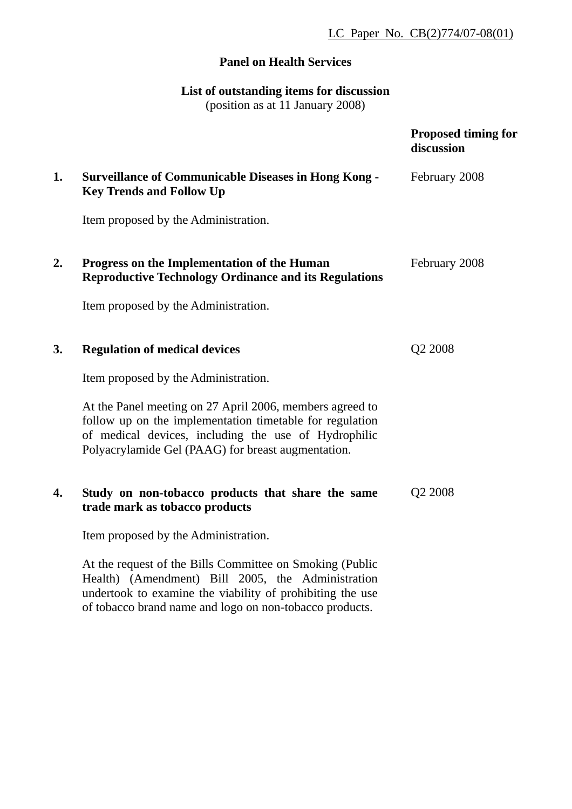LC Paper No. CB(2)774/07-08(01)

## **Panel on Health Services**

## **List of outstanding items for discussion**

(position as at 11 January 2008)

|    |                                                                                                                                                                                                                                    | <b>Proposed timing for</b><br>discussion |
|----|------------------------------------------------------------------------------------------------------------------------------------------------------------------------------------------------------------------------------------|------------------------------------------|
| 1. | <b>Surveillance of Communicable Diseases in Hong Kong -</b><br><b>Key Trends and Follow Up</b>                                                                                                                                     | February 2008                            |
|    | Item proposed by the Administration.                                                                                                                                                                                               |                                          |
| 2. | Progress on the Implementation of the Human<br><b>Reproductive Technology Ordinance and its Regulations</b>                                                                                                                        | February 2008                            |
|    | Item proposed by the Administration.                                                                                                                                                                                               |                                          |
| 3. | <b>Regulation of medical devices</b>                                                                                                                                                                                               | Q2 2008                                  |
|    | Item proposed by the Administration.                                                                                                                                                                                               |                                          |
|    | At the Panel meeting on 27 April 2006, members agreed to<br>follow up on the implementation timetable for regulation<br>of medical devices, including the use of Hydrophilic<br>Polyacrylamide Gel (PAAG) for breast augmentation. |                                          |
| 4. | Study on non-tobacco products that share the same<br>trade mark as tobacco products                                                                                                                                                | Q2 2008                                  |
|    | Item proposed by the Administration.                                                                                                                                                                                               |                                          |
|    | At the request of the Bills Committee on Smoking (Public<br>Health) (Amendment) Bill 2005, the Administration<br>undertook to examine the viability of prohibiting the use                                                         |                                          |

of tobacco brand name and logo on non-tobacco products.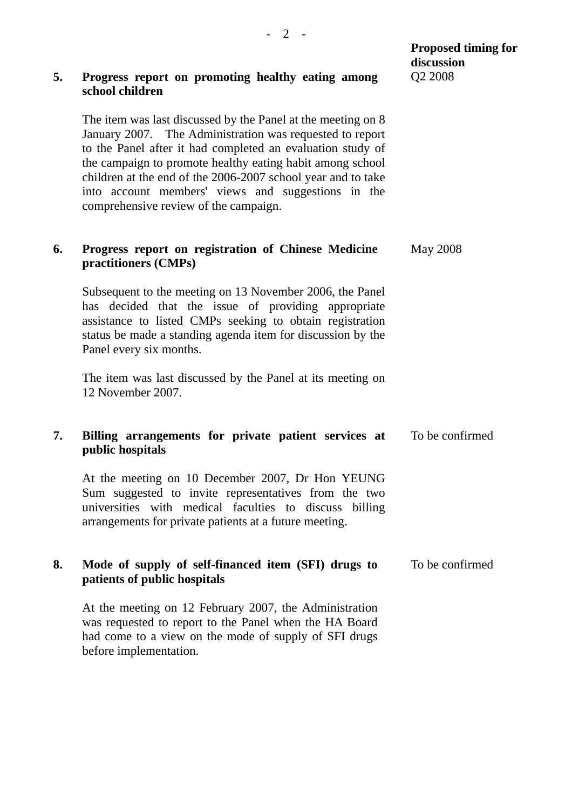| 5. | Progress report on promoting healthy eating among<br>school children                                                                                                                                                                                                                                                                                                                                               | <b>Proposed timing for</b><br>discussion<br>Q <sub>2</sub> 2008 |
|----|--------------------------------------------------------------------------------------------------------------------------------------------------------------------------------------------------------------------------------------------------------------------------------------------------------------------------------------------------------------------------------------------------------------------|-----------------------------------------------------------------|
|    | The item was last discussed by the Panel at the meeting on 8<br>January 2007. The Administration was requested to report<br>to the Panel after it had completed an evaluation study of<br>the campaign to promote healthy eating habit among school<br>children at the end of the 2006-2007 school year and to take<br>into account members' views and suggestions in the<br>comprehensive review of the campaign. |                                                                 |
| 6. | Progress report on registration of Chinese Medicine<br>practitioners (CMPs)                                                                                                                                                                                                                                                                                                                                        | <b>May 2008</b>                                                 |
|    | Subsequent to the meeting on 13 November 2006, the Panel<br>has decided that the issue of providing appropriate<br>assistance to listed CMPs seeking to obtain registration<br>status be made a standing agenda item for discussion by the<br>Panel every six months.                                                                                                                                              |                                                                 |
|    | The item was last discussed by the Panel at its meeting on<br>12 November 2007.                                                                                                                                                                                                                                                                                                                                    |                                                                 |
| 7. | Billing arrangements for private patient services at<br>public hospitals                                                                                                                                                                                                                                                                                                                                           | To be confirmed                                                 |
|    | At the meeting on 10 December 2007, Dr Hon YEUNG<br>Sum suggested to invite representatives from the two<br>universities with medical faculties to discuss billing<br>arrangements for private patients at a future meeting.                                                                                                                                                                                       |                                                                 |
| 8. | Mode of supply of self-financed item (SFI) drugs to<br>patients of public hospitals                                                                                                                                                                                                                                                                                                                                | To be confirmed                                                 |
|    | At the meeting on 12 February 2007, the Administration<br>was requested to report to the Panel when the HA Board<br>had come to a view on the mode of supply of SFI drugs<br>before implementation.                                                                                                                                                                                                                |                                                                 |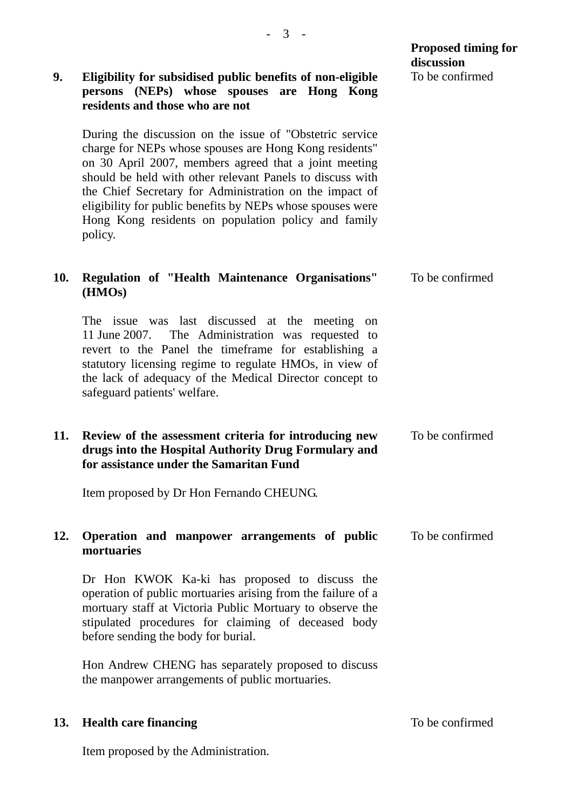| 9.         | Eligibility for subsidised public benefits of non-eligible<br>persons (NEPs) whose spouses are Hong Kong<br>residents and those who are not                                                                                                                                                                                                                                                                                          | <b>Proposed timing for</b><br>discussion<br>To be confirmed |
|------------|--------------------------------------------------------------------------------------------------------------------------------------------------------------------------------------------------------------------------------------------------------------------------------------------------------------------------------------------------------------------------------------------------------------------------------------|-------------------------------------------------------------|
|            | During the discussion on the issue of "Obstetric service"<br>charge for NEPs whose spouses are Hong Kong residents"<br>on 30 April 2007, members agreed that a joint meeting<br>should be held with other relevant Panels to discuss with<br>the Chief Secretary for Administration on the impact of<br>eligibility for public benefits by NEPs whose spouses were<br>Hong Kong residents on population policy and family<br>policy. |                                                             |
| 10.        | Regulation of "Health Maintenance Organisations"<br>(HMOs)                                                                                                                                                                                                                                                                                                                                                                           | To be confirmed                                             |
|            | The issue was last discussed at the meeting<br>on<br>The Administration was requested to<br>11 June 2007.<br>revert to the Panel the timeframe for establishing a<br>statutory licensing regime to regulate HMOs, in view of<br>the lack of adequacy of the Medical Director concept to<br>safeguard patients' welfare.                                                                                                              |                                                             |
| 11.        | Review of the assessment criteria for introducing new<br>drugs into the Hospital Authority Drug Formulary and<br>for assistance under the Samaritan Fund                                                                                                                                                                                                                                                                             | To be confirmed                                             |
|            | Item proposed by Dr Hon Fernando CHEUNG.                                                                                                                                                                                                                                                                                                                                                                                             |                                                             |
| 12.        | Operation and manpower arrangements of public<br>mortuaries                                                                                                                                                                                                                                                                                                                                                                          | To be confirmed                                             |
|            | Dr Hon KWOK Ka-ki has proposed to discuss the<br>operation of public mortuaries arising from the failure of a<br>mortuary staff at Victoria Public Mortuary to observe the<br>stipulated procedures for claiming of deceased body<br>before sending the body for burial.                                                                                                                                                             |                                                             |
|            | Hon Andrew CHENG has separately proposed to discuss<br>the manpower arrangements of public mortuaries.                                                                                                                                                                                                                                                                                                                               |                                                             |
| <b>13.</b> | <b>Health care financing</b>                                                                                                                                                                                                                                                                                                                                                                                                         | To be confirmed                                             |

Item proposed by the Administration.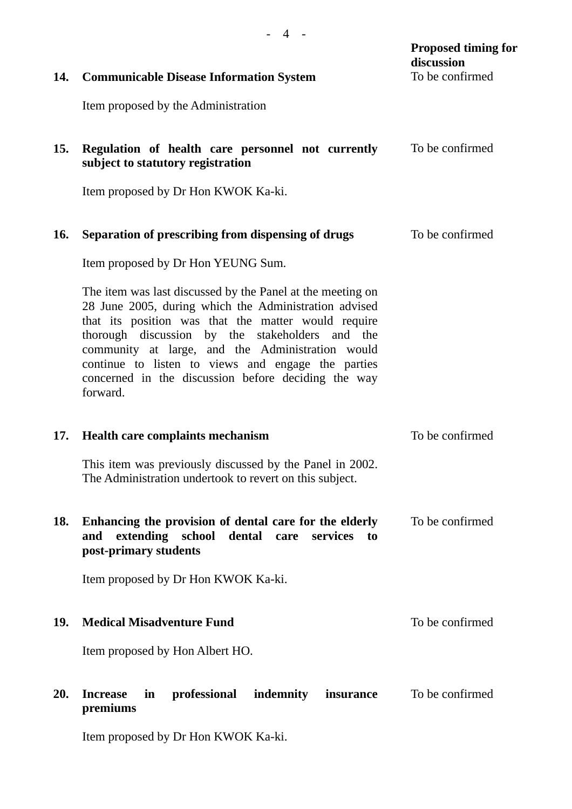|            | - 4 -                                                                                                                                                                                                                                                                                                                                                                                                      |                                          |
|------------|------------------------------------------------------------------------------------------------------------------------------------------------------------------------------------------------------------------------------------------------------------------------------------------------------------------------------------------------------------------------------------------------------------|------------------------------------------|
|            |                                                                                                                                                                                                                                                                                                                                                                                                            | <b>Proposed timing for</b><br>discussion |
| 14.        | <b>Communicable Disease Information System</b>                                                                                                                                                                                                                                                                                                                                                             | To be confirmed                          |
|            | Item proposed by the Administration                                                                                                                                                                                                                                                                                                                                                                        |                                          |
| <b>15.</b> | Regulation of health care personnel not currently<br>subject to statutory registration                                                                                                                                                                                                                                                                                                                     | To be confirmed                          |
|            | Item proposed by Dr Hon KWOK Ka-ki.                                                                                                                                                                                                                                                                                                                                                                        |                                          |
| <b>16.</b> | Separation of prescribing from dispensing of drugs                                                                                                                                                                                                                                                                                                                                                         | To be confirmed                          |
|            | Item proposed by Dr Hon YEUNG Sum.                                                                                                                                                                                                                                                                                                                                                                         |                                          |
|            | The item was last discussed by the Panel at the meeting on<br>28 June 2005, during which the Administration advised<br>that its position was that the matter would require<br>thorough discussion by the stakeholders and the<br>community at large, and the Administration would<br>continue to listen to views and engage the parties<br>concerned in the discussion before deciding the way<br>forward. |                                          |
| 17.        | <b>Health care complaints mechanism</b>                                                                                                                                                                                                                                                                                                                                                                    | To be confirmed                          |
|            | This item was previously discussed by the Panel in 2002.<br>The Administration undertook to revert on this subject.                                                                                                                                                                                                                                                                                        |                                          |
| <b>18.</b> | Enhancing the provision of dental care for the elderly<br>extending<br>school<br>dental<br>services<br>and<br>care<br>to<br>post-primary students                                                                                                                                                                                                                                                          | To be confirmed                          |
|            | Item proposed by Dr Hon KWOK Ka-ki.                                                                                                                                                                                                                                                                                                                                                                        |                                          |
| 19.        | <b>Medical Misadventure Fund</b>                                                                                                                                                                                                                                                                                                                                                                           | To be confirmed                          |
|            | Item proposed by Hon Albert HO.                                                                                                                                                                                                                                                                                                                                                                            |                                          |
| 20.        | <b>Increase</b><br>professional<br>indemnity<br>in<br>insurance<br>premiums                                                                                                                                                                                                                                                                                                                                | To be confirmed                          |
|            | Item proposed by Dr Hon KWOK Ka-ki.                                                                                                                                                                                                                                                                                                                                                                        |                                          |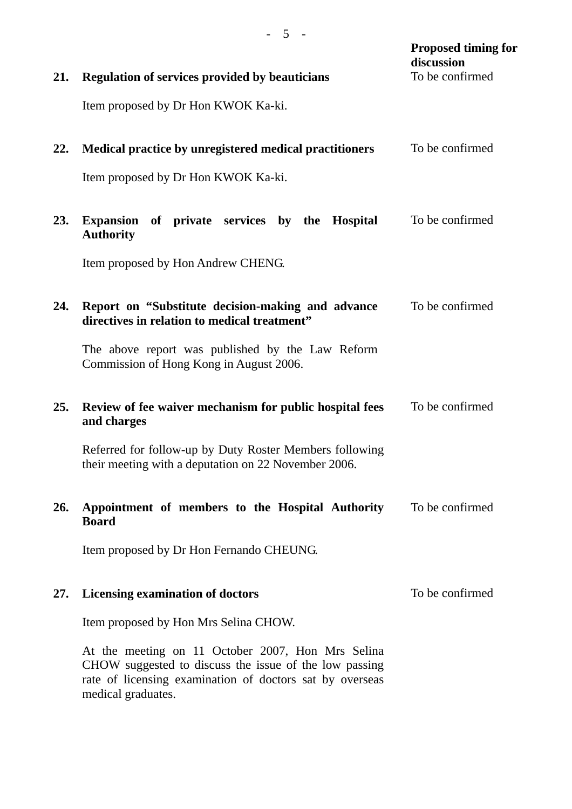| 21. | <b>Regulation of services provided by beauticians</b><br>Item proposed by Dr Hon KWOK Ka-ki.                                                                                                                                            | <b>Proposed timing for</b><br>discussion<br>To be confirmed |
|-----|-----------------------------------------------------------------------------------------------------------------------------------------------------------------------------------------------------------------------------------------|-------------------------------------------------------------|
| 22. | Medical practice by unregistered medical practitioners<br>Item proposed by Dr Hon KWOK Ka-ki.                                                                                                                                           | To be confirmed                                             |
| 23. | Expansion of private services by the Hospital<br><b>Authority</b>                                                                                                                                                                       | To be confirmed                                             |
| 24. | Item proposed by Hon Andrew CHENG.<br>Report on "Substitute decision-making and advance"<br>directives in relation to medical treatment"<br>The above report was published by the Law Reform<br>Commission of Hong Kong in August 2006. | To be confirmed                                             |
| 25. | Review of fee waiver mechanism for public hospital fees<br>and charges<br>Referred for follow-up by Duty Roster Members following                                                                                                       | To be confirmed                                             |
| 26. | their meeting with a deputation on 22 November 2006.<br>Appointment of members to the Hospital Authority<br><b>Board</b><br>Item proposed by Dr Hon Fernando CHEUNG.                                                                    | To be confirmed                                             |
| 27. | <b>Licensing examination of doctors</b><br>Item proposed by Hon Mrs Selina CHOW.                                                                                                                                                        | To be confirmed                                             |
|     | At the meeting on 11 October 2007, Hon Mrs Selina<br>CHOW suggested to discuss the issue of the low passing<br>rate of licensing examination of doctors sat by overseas<br>medical graduates.                                           |                                                             |